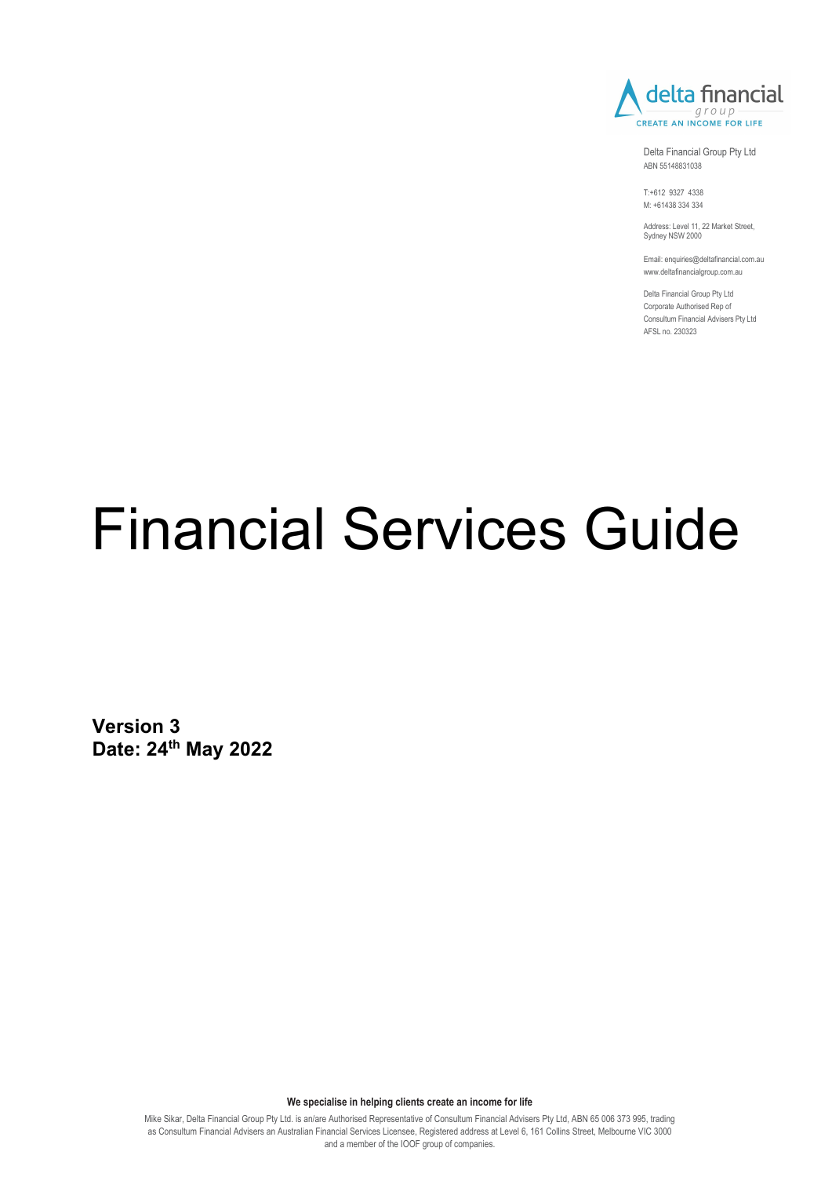

Delta Financial Group Pty Ltd ABN 55148831038

T:+612 9327 4338 M: +61438 334 334

Address: Level 11, 22 Market Street, Sydney NSW 2000

Email: enquiries@deltafinancial.com.au www.deltafinancialgroup.com.au

Delta Financial Group Pty Ltd Corporate Authorised Rep of Consultum Financial Advisers Pty Ltd AFSL no. 230323

# Financial Services Guide

**Version 3 Date: 24th May 2022**

**We specialise in helping clients create an income for life**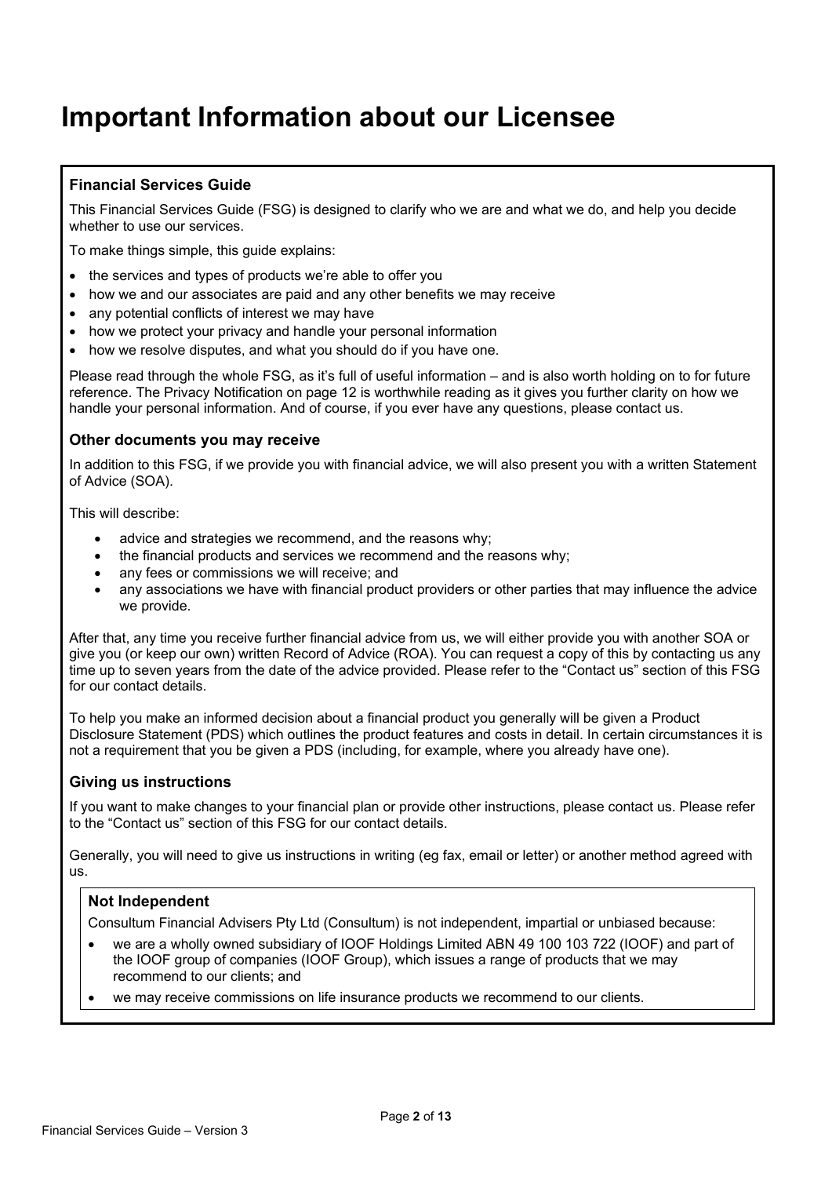# **Important Information about our Licensee**

# **Financial Services Guide**

This Financial Services Guide (FSG) is designed to clarify who we are and what we do, and help you decide whether to use our services.

To make things simple, this guide explains:

- the services and types of products we're able to offer you
- how we and our associates are paid and any other benefits we may receive
- any potential conflicts of interest we may have
- how we protect your privacy and handle your personal information
- how we resolve disputes, and what you should do if you have one.

Please read through the whole FSG, as it's full of useful information – and is also worth holding on to for future reference. The Privacy Notification on page 12 is worthwhile reading as it gives you further clarity on how we handle your personal information. And of course, if you ever have any questions, please contact us.

## **Other documents you may receive**

In addition to this FSG, if we provide you with financial advice, we will also present you with a written Statement of Advice (SOA).

This will describe:

- advice and strategies we recommend, and the reasons why;
- the financial products and services we recommend and the reasons why;
- any fees or commissions we will receive; and
- any associations we have with financial product providers or other parties that may influence the advice we provide.

After that, any time you receive further financial advice from us, we will either provide you with another SOA or give you (or keep our own) written Record of Advice (ROA). You can request a copy of this by contacting us any time up to seven years from the date of the advice provided. Please refer to the "Contact us" section of this FSG for our contact details.

To help you make an informed decision about a financial product you generally will be given a Product Disclosure Statement (PDS) which outlines the product features and costs in detail. In certain circumstances it is not a requirement that you be given a PDS (including, for example, where you already have one).

# **Giving us instructions**

If you want to make changes to your financial plan or provide other instructions, please contact us. Please refer to the "Contact us" section of this FSG for our contact details.

Generally, you will need to give us instructions in writing (eg fax, email or letter) or another method agreed with us.

### **Not Independent**

Consultum Financial Advisers Pty Ltd (Consultum) is not independent, impartial or unbiased because:

- we are a wholly owned subsidiary of IOOF Holdings Limited ABN 49 100 103 722 (IOOF) and part of the IOOF group of companies (IOOF Group), which issues a range of products that we may recommend to our clients; and
- we may receive commissions on life insurance products we recommend to our clients.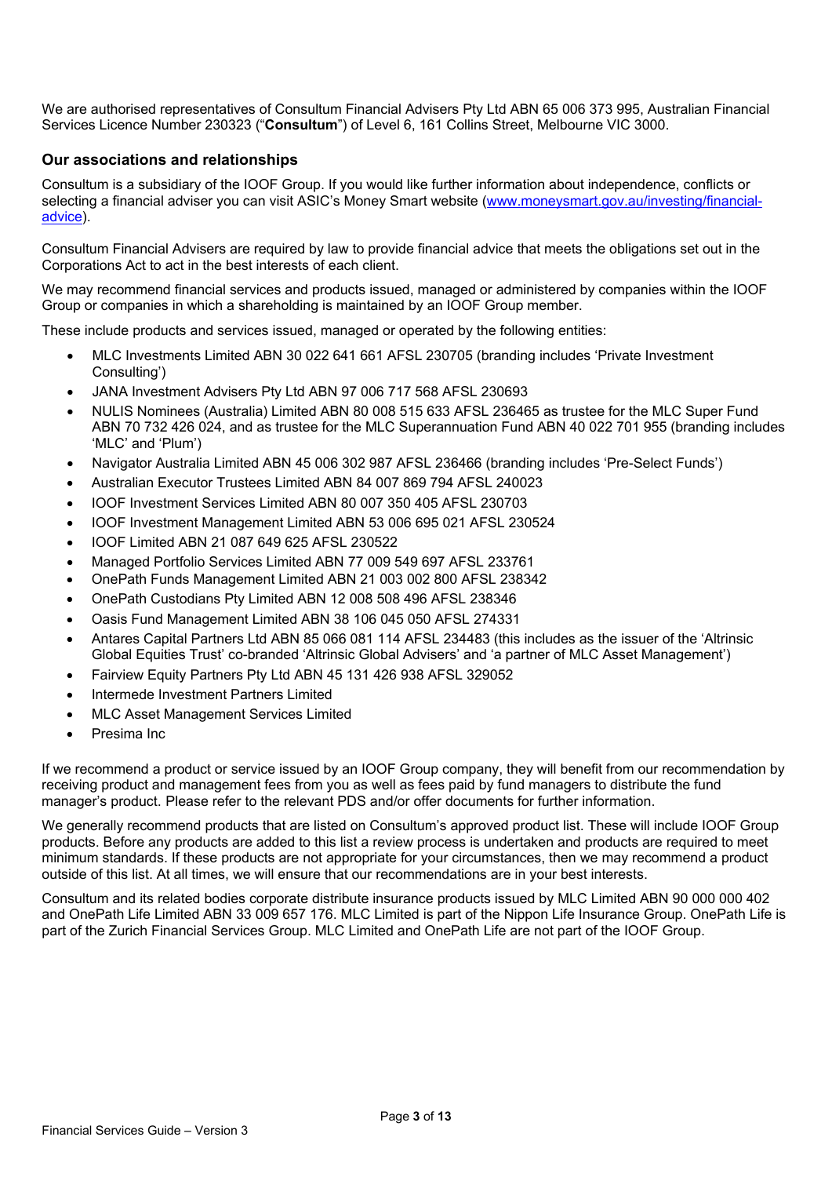We are authorised representatives of Consultum Financial Advisers Pty Ltd ABN 65 006 373 995, Australian Financial Services Licence Number 230323 ("**Consultum**") of Level 6, 161 Collins Street, Melbourne VIC 3000.

## **Our associations and relationships**

Consultum is a subsidiary of the IOOF Group. If you would like further information about independence, conflicts or selecting a financial adviser you can visit ASIC's Money Smart website [\(www.moneysmart.gov.au/investing/financial](https://www.moneysmart.gov.au/investing/financial-advice)[advice\)](https://www.moneysmart.gov.au/investing/financial-advice).

Consultum Financial Advisers are required by law to provide financial advice that meets the obligations set out in the Corporations Act to act in the best interests of each client.

We may recommend financial services and products issued, managed or administered by companies within the IOOF Group or companies in which a shareholding is maintained by an IOOF Group member.

These include products and services issued, managed or operated by the following entities:

- MLC Investments Limited ABN 30 022 641 661 AFSL 230705 (branding includes 'Private Investment Consulting')
- JANA Investment Advisers Pty Ltd ABN 97 006 717 568 AFSL 230693
- NULIS Nominees (Australia) Limited ABN 80 008 515 633 AFSL 236465 as trustee for the MLC Super Fund ABN 70 732 426 024, and as trustee for the MLC Superannuation Fund ABN 40 022 701 955 (branding includes 'MLC' and 'Plum')
- Navigator Australia Limited ABN 45 006 302 987 AFSL 236466 (branding includes 'Pre-Select Funds')
- Australian Executor Trustees Limited ABN 84 007 869 794 AFSL 240023
- IOOF Investment Services Limited ABN 80 007 350 405 AFSL 230703
- IOOF Investment Management Limited ABN 53 006 695 021 AFSL 230524
- IOOF Limited ABN 21 087 649 625 AFSL 230522
- Managed Portfolio Services Limited ABN 77 009 549 697 AFSL 233761
- OnePath Funds Management Limited ABN 21 003 002 800 AFSL 238342
- OnePath Custodians Pty Limited ABN 12 008 508 496 AFSL 238346
- Oasis Fund Management Limited ABN 38 106 045 050 AFSL 274331
- Antares Capital Partners Ltd ABN 85 066 081 114 AFSL 234483 (this includes as the issuer of the 'Altrinsic Global Equities Trust' co-branded 'Altrinsic Global Advisers' and 'a partner of MLC Asset Management')
- Fairview Equity Partners Pty Ltd ABN 45 131 426 938 AFSL 329052
- Intermede Investment Partners Limited
- MLC Asset Management Services Limited
- Presima Inc

If we recommend a product or service issued by an IOOF Group company, they will benefit from our recommendation by receiving product and management fees from you as well as fees paid by fund managers to distribute the fund manager's product. Please refer to the relevant PDS and/or offer documents for further information.

We generally recommend products that are listed on Consultum's approved product list. These will include IOOF Group products. Before any products are added to this list a review process is undertaken and products are required to meet minimum standards. If these products are not appropriate for your circumstances, then we may recommend a product outside of this list. At all times, we will ensure that our recommendations are in your best interests.

Consultum and its related bodies corporate distribute insurance products issued by MLC Limited ABN 90 000 000 402 and OnePath Life Limited ABN 33 009 657 176. MLC Limited is part of the Nippon Life Insurance Group. OnePath Life is part of the Zurich Financial Services Group. MLC Limited and OnePath Life are not part of the IOOF Group.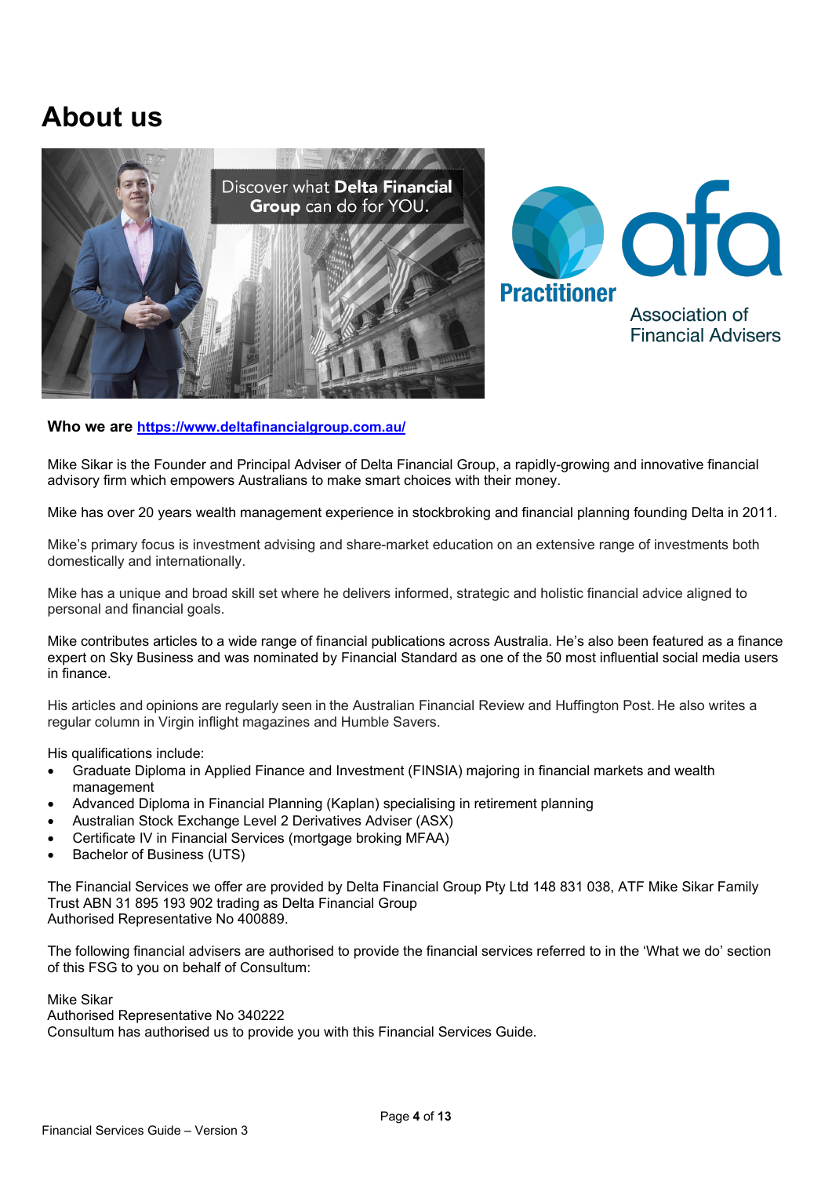# **About us**





**Who we are <https://www.deltafinancialgroup.com.au/>**

Mike Sikar is the Founder and Principal Adviser of Delta Financial Group, a rapidly-growing and innovative financial advisory firm which empowers Australians to make smart choices with their money.

Mike has over 20 years wealth management experience in stockbroking and financial planning founding Delta in 2011.

Mike's primary focus is investment advising and share-market education on an extensive range of investments both domestically and internationally.

Mike has a unique and broad skill set where he delivers informed, strategic and holistic financial advice aligned to personal and financial goals.

Mike contributes articles to a wide range of financial publications across Australia. He's also been featured as a finance expert on Sky Business and was nominated by Financial Standard as one of the 50 most influential social media users in finance.

His articles and opinions are regularly seen in the Australian Financial Review and Huffington Post. He also writes a regular column in Virgin inflight magazines and Humble Savers.

His qualifications include:

- Graduate Diploma in Applied Finance and Investment (FINSIA) majoring in financial markets and wealth management
- Advanced Diploma in Financial Planning (Kaplan) specialising in retirement planning
- Australian Stock Exchange Level 2 Derivatives Adviser (ASX)
- Certificate IV in Financial Services (mortgage broking MFAA)
- Bachelor of Business (UTS)

The Financial Services we offer are provided by Delta Financial Group Pty Ltd 148 831 038, ATF Mike Sikar Family Trust ABN 31 895 193 902 trading as Delta Financial Group Authorised Representative No 400889.

The following financial advisers are authorised to provide the financial services referred to in the 'What we do' section of this FSG to you on behalf of Consultum:

Mike Sikar

Authorised Representative No 340222

Consultum has authorised us to provide you with this Financial Services Guide.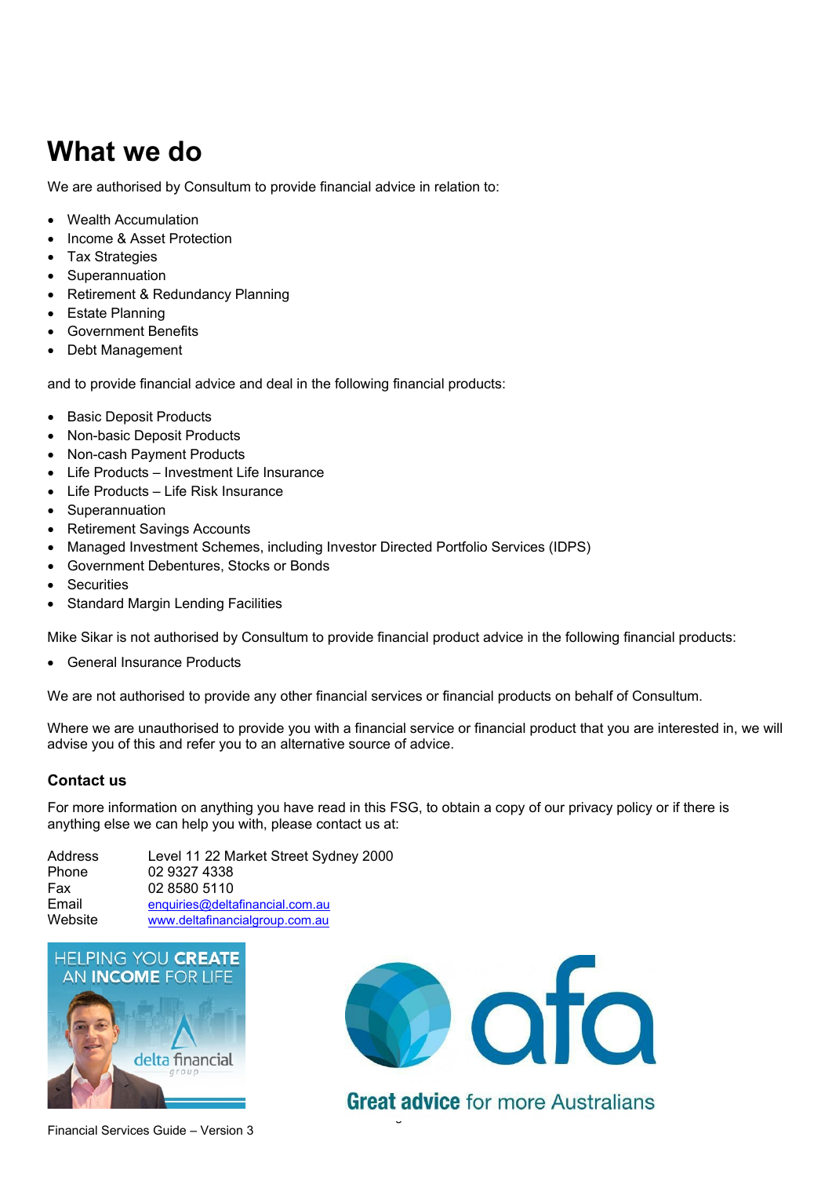# **What we do**

We are authorised by Consultum to provide financial advice in relation to:

- Wealth Accumulation
- Income & Asset Protection
- Tax Strategies
- **Superannuation**
- Retirement & Redundancy Planning
- **Estate Planning**
- Government Benefits
- Debt Management

and to provide financial advice and deal in the following financial products:

- Basic Deposit Products
- Non-basic Deposit Products
- Non-cash Payment Products
- Life Products Investment Life Insurance
- Life Products Life Risk Insurance
- **Superannuation**
- Retirement Savings Accounts
- Managed Investment Schemes, including Investor Directed Portfolio Services (IDPS)
- Government Debentures, Stocks or Bonds
- **Securities**
- **Standard Margin Lending Facilities**

Mike Sikar is not authorised by Consultum to provide financial product advice in the following financial products:

• General Insurance Products

We are not authorised to provide any other financial services or financial products on behalf of Consultum.

Where we are unauthorised to provide you with a financial service or financial product that you are interested in, we will advise you of this and refer you to an alternative source of advice.

### **Contact us**

For more information on anything you have read in this FSG, to obtain a copy of our privacy policy or if there is anything else we can help you with, please contact us at:

Address Level 11 22 Market Street Sydney 2000 Phone 02 9327 4338 Fax  $02\,8580\,5110$ <br>Fmail enguiries@delta [enquiries@deltafinancial.com.au](mailto:enquiries@deltafinancial.com.au) Website [www.deltafinancialgroup.com.au](http://www.deltafinancialgroup.com.au/)



Financial Services Guide – Version 3



**Great advice** for more Australians Page **5** of **13**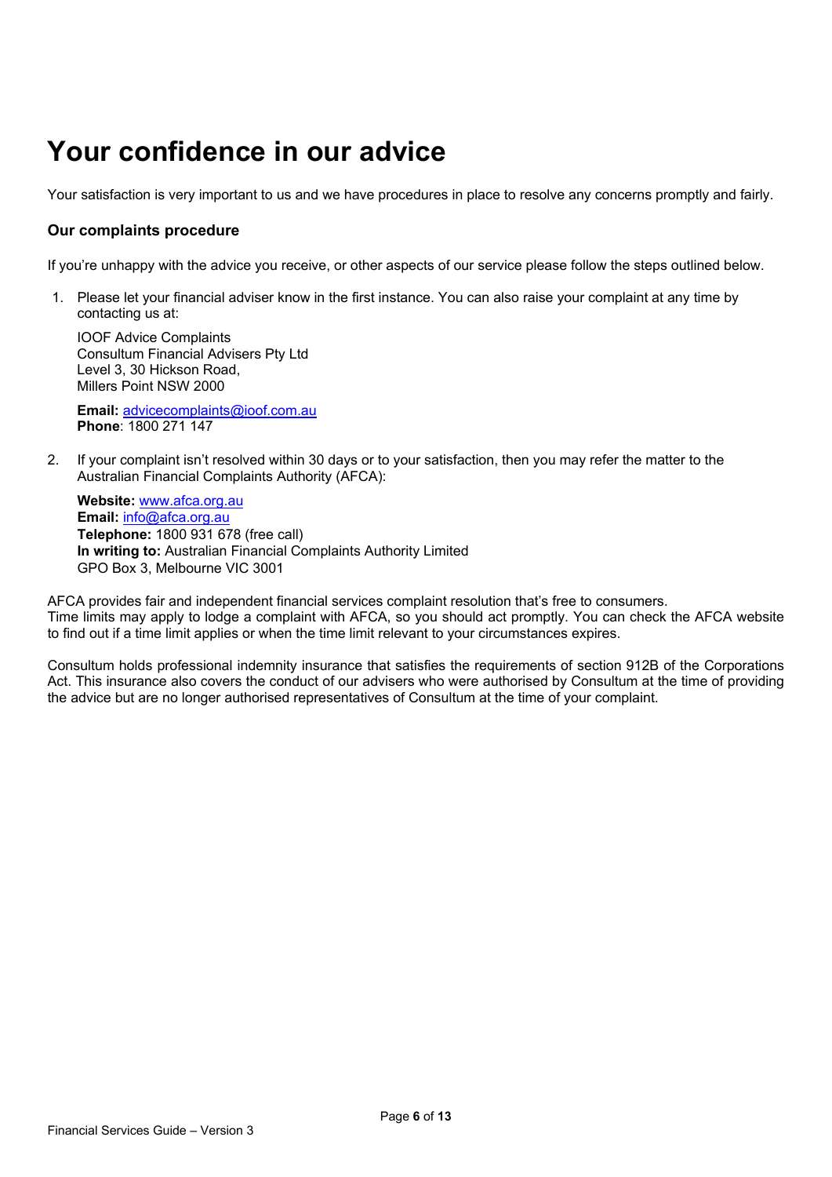# **Your confidence in our advice**

Your satisfaction is very important to us and we have procedures in place to resolve any concerns promptly and fairly.

# **Our complaints procedure**

If you're unhappy with the advice you receive, or other aspects of our service please follow the steps outlined below.

1. Please let your financial adviser know in the first instance. You can also raise your complaint at any time by contacting us at:

IOOF Advice Complaints Consultum Financial Advisers Pty Ltd Level 3, 30 Hickson Road, Millers Point NSW 2000

**Email:** [advicecomplaints@ioof.com.au](mailto:advicecomplaints@ioof.com.au) **Phone**: 1800 271 147

2. If your complaint isn't resolved within 30 days or to your satisfaction, then you may refer the matter to the Australian Financial Complaints Authority (AFCA):

**Website:** www.afca.org.au **Email:** [info@afca.org.au](mailto:info@afca.org.au) **Telephone:** 1800 931 678 (free call) **In writing to:** Australian Financial Complaints Authority Limited GPO Box 3, Melbourne VIC 3001

AFCA provides fair and independent financial services complaint resolution that's free to consumers. Time limits may apply to lodge a complaint with AFCA, so you should act promptly. You can check the AFCA website to find out if a time limit applies or when the time limit relevant to your circumstances expires.

Consultum holds professional indemnity insurance that satisfies the requirements of section 912B of the Corporations Act. This insurance also covers the conduct of our advisers who were authorised by Consultum at the time of providing the advice but are no longer authorised representatives of Consultum at the time of your complaint.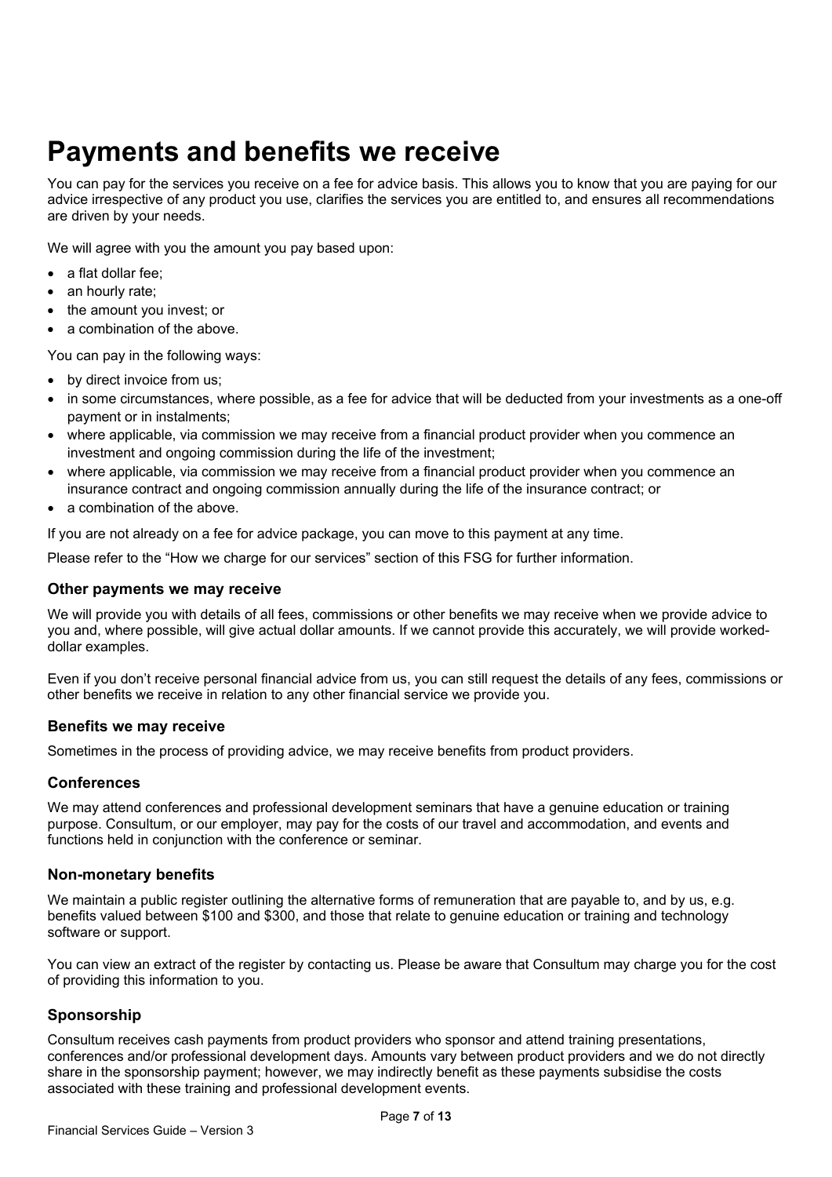# **Payments and benefits we receive**

You can pay for the services you receive on a fee for advice basis. This allows you to know that you are paying for our advice irrespective of any product you use, clarifies the services you are entitled to, and ensures all recommendations are driven by your needs.

We will agree with you the amount you pay based upon:

- a flat dollar fee;
- an hourly rate;
- the amount you invest; or
- a combination of the above.

You can pay in the following ways:

- by direct invoice from us;
- in some circumstances, where possible, as a fee for advice that will be deducted from your investments as a one-off payment or in instalments;
- where applicable, via commission we may receive from a financial product provider when you commence an investment and ongoing commission during the life of the investment;
- where applicable, via commission we may receive from a financial product provider when you commence an insurance contract and ongoing commission annually during the life of the insurance contract; or
- a combination of the above.

If you are not already on a fee for advice package, you can move to this payment at any time.

Please refer to the "How we charge for our services" section of this FSG for further information.

### **Other payments we may receive**

We will provide you with details of all fees, commissions or other benefits we may receive when we provide advice to you and, where possible, will give actual dollar amounts. If we cannot provide this accurately, we will provide workeddollar examples.

Even if you don't receive personal financial advice from us, you can still request the details of any fees, commissions or other benefits we receive in relation to any other financial service we provide you.

#### **Benefits we may receive**

Sometimes in the process of providing advice, we may receive benefits from product providers.

#### **Conferences**

We may attend conferences and professional development seminars that have a genuine education or training purpose. Consultum, or our employer, may pay for the costs of our travel and accommodation, and events and functions held in conjunction with the conference or seminar.

### **Non-monetary benefits**

We maintain a public register outlining the alternative forms of remuneration that are payable to, and by us, e.g. benefits valued between \$100 and \$300, and those that relate to genuine education or training and technology software or support.

You can view an extract of the register by contacting us. Please be aware that Consultum may charge you for the cost of providing this information to you.

# **Sponsorship**

Consultum receives cash payments from product providers who sponsor and attend training presentations, conferences and/or professional development days. Amounts vary between product providers and we do not directly share in the sponsorship payment; however, we may indirectly benefit as these payments subsidise the costs associated with these training and professional development events.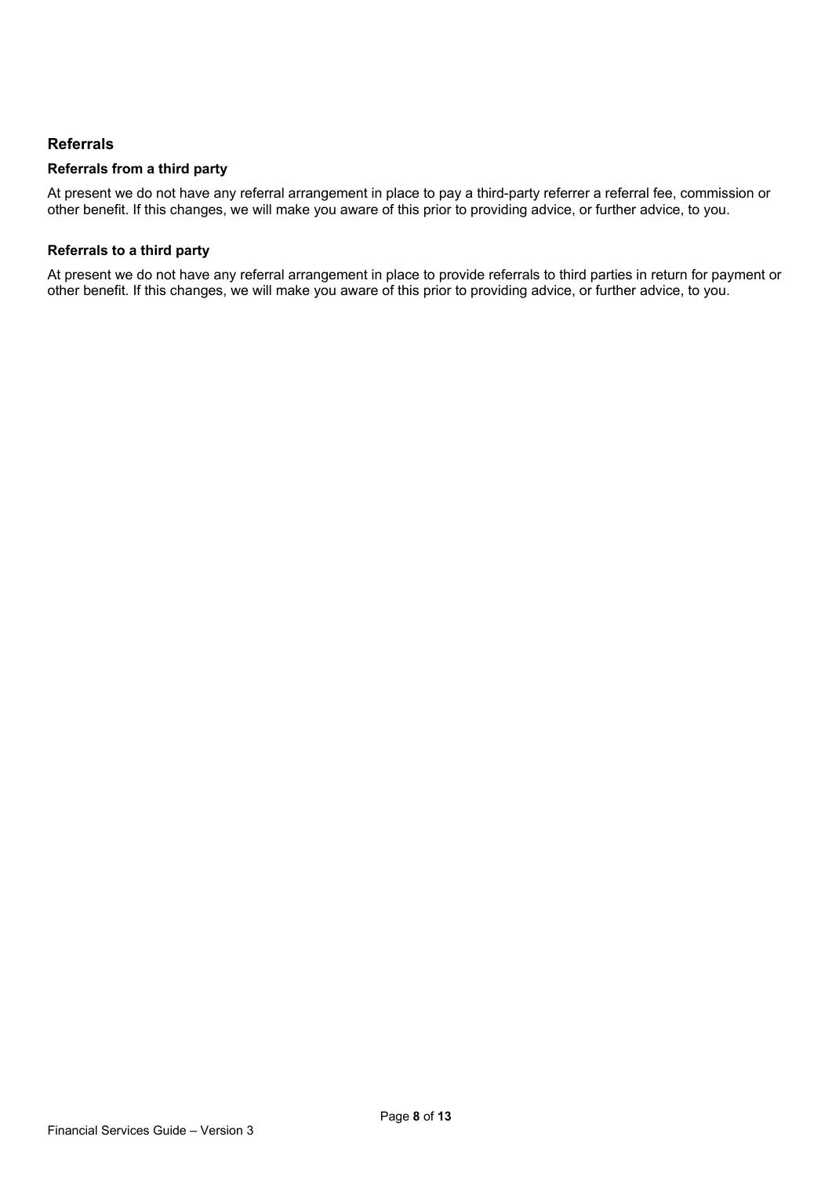# **Referrals**

#### **Referrals from a third party**

At present we do not have any referral arrangement in place to pay a third-party referrer a referral fee, commission or other benefit. If this changes, we will make you aware of this prior to providing advice, or further advice, to you.

#### **Referrals to a third party**

At present we do not have any referral arrangement in place to provide referrals to third parties in return for payment or other benefit. If this changes, we will make you aware of this prior to providing advice, or further advice, to you.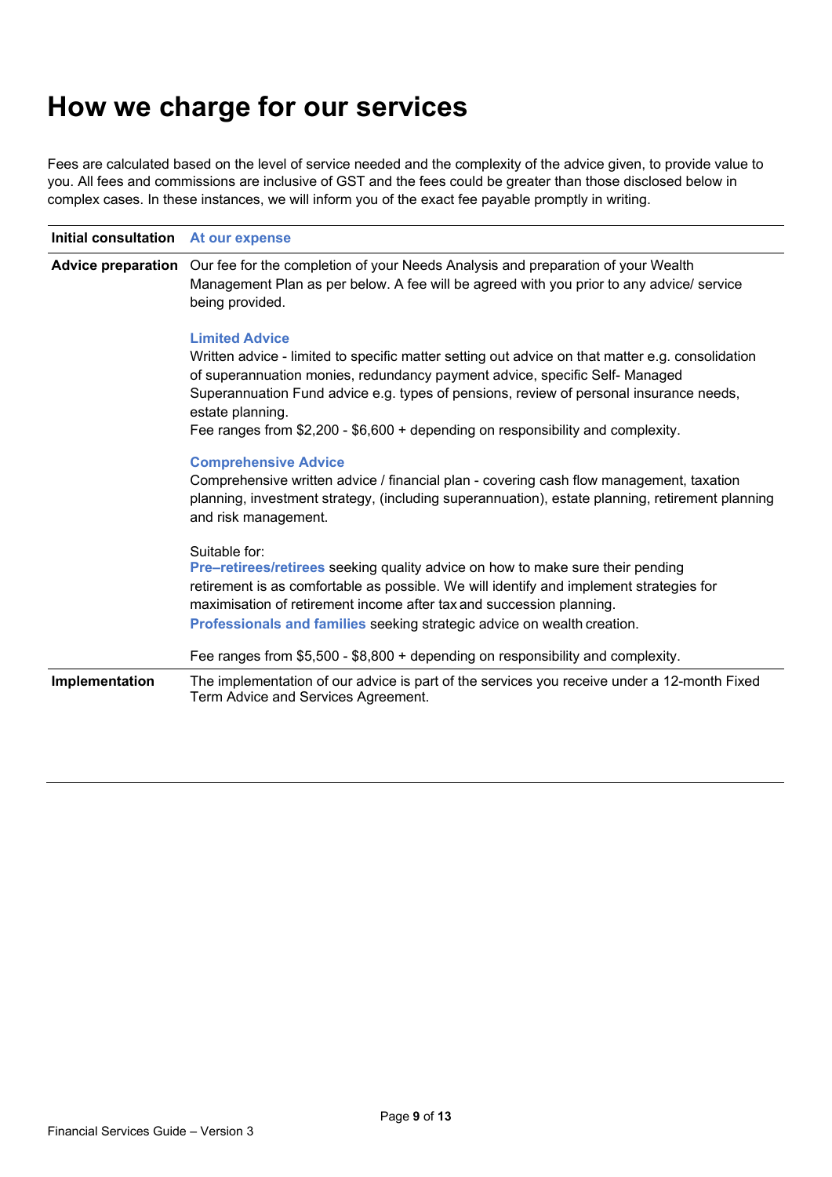# **How we charge for our services**

Fees are calculated based on the level of service needed and the complexity of the advice given, to provide value to you. All fees and commissions are inclusive of GST and the fees could be greater than those disclosed below in complex cases. In these instances, we will inform you of the exact fee payable promptly in writing.

| Initial consultation At our expense |                                                                                                                                                                                                                                                                                                                                                                                                           |
|-------------------------------------|-----------------------------------------------------------------------------------------------------------------------------------------------------------------------------------------------------------------------------------------------------------------------------------------------------------------------------------------------------------------------------------------------------------|
| <b>Advice preparation</b>           | Our fee for the completion of your Needs Analysis and preparation of your Wealth<br>Management Plan as per below. A fee will be agreed with you prior to any advice/ service<br>being provided.                                                                                                                                                                                                           |
|                                     | <b>Limited Advice</b><br>Written advice - limited to specific matter setting out advice on that matter e.g. consolidation<br>of superannuation monies, redundancy payment advice, specific Self- Managed<br>Superannuation Fund advice e.g. types of pensions, review of personal insurance needs,<br>estate planning.<br>Fee ranges from \$2,200 - \$6,600 + depending on responsibility and complexity. |
|                                     | <b>Comprehensive Advice</b><br>Comprehensive written advice / financial plan - covering cash flow management, taxation<br>planning, investment strategy, (including superannuation), estate planning, retirement planning<br>and risk management.                                                                                                                                                         |
|                                     | Suitable for:<br>Pre-retirees/retirees seeking quality advice on how to make sure their pending<br>retirement is as comfortable as possible. We will identify and implement strategies for<br>maximisation of retirement income after tax and succession planning.<br>Professionals and families seeking strategic advice on wealth creation.                                                             |
|                                     | Fee ranges from \$5,500 - \$8,800 + depending on responsibility and complexity.                                                                                                                                                                                                                                                                                                                           |
| Implementation                      | The implementation of our advice is part of the services you receive under a 12-month Fixed<br>Term Advice and Services Agreement.                                                                                                                                                                                                                                                                        |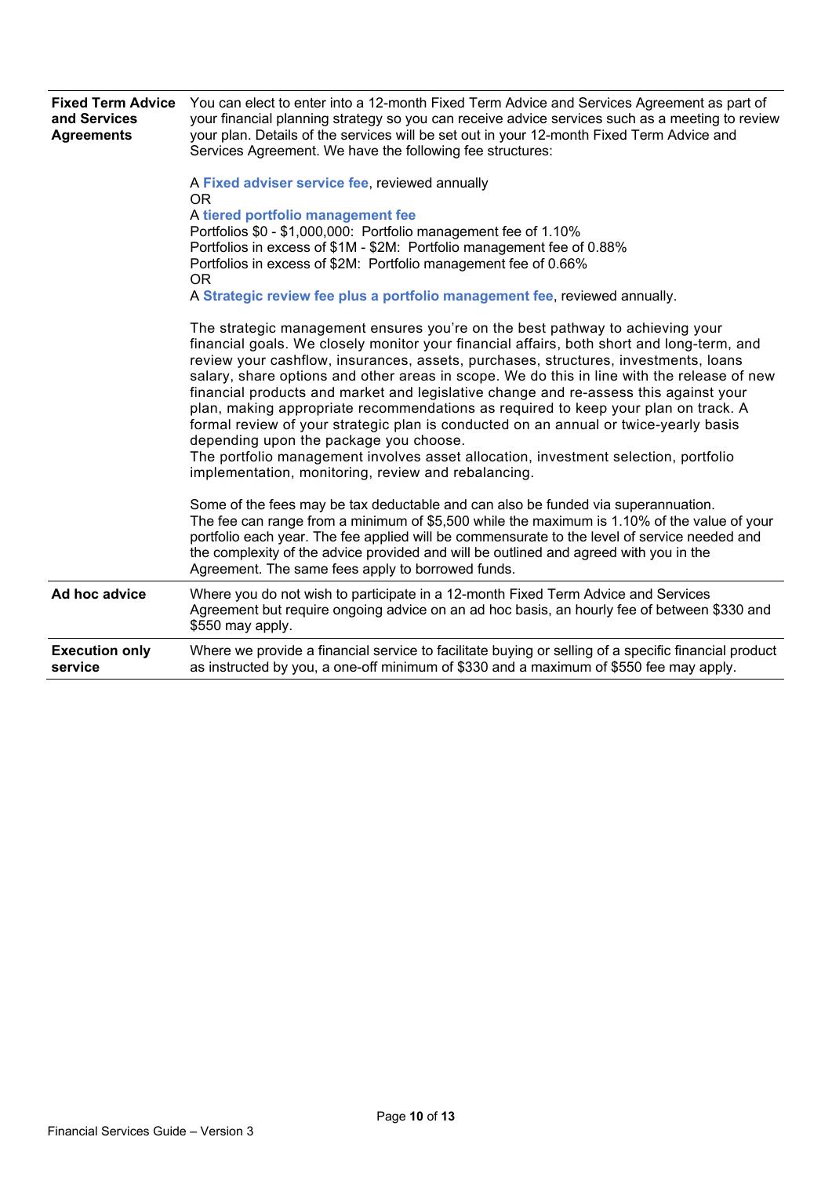| financial goals. We closely monitor your financial affairs, both short and long-term, and<br>review your cashflow, insurances, assets, purchases, structures, investments, loans<br>salary, share options and other areas in scope. We do this in line with the release of new<br>financial products and market and legislative change and re-assess this against your<br>plan, making appropriate recommendations as required to keep your plan on track. A<br>formal review of your strategic plan is conducted on an annual or twice-yearly basis<br>depending upon the package you choose.<br>The portfolio management involves asset allocation, investment selection, portfolio<br>implementation, monitoring, review and rebalancing.<br>Some of the fees may be tax deductable and can also be funded via superannuation.<br>The fee can range from a minimum of \$5,500 while the maximum is 1.10% of the value of your<br>portfolio each year. The fee applied will be commensurate to the level of service needed and<br>the complexity of the advice provided and will be outlined and agreed with you in the<br>Agreement. The same fees apply to borrowed funds.<br>Ad hoc advice<br>Where you do not wish to participate in a 12-month Fixed Term Advice and Services<br>Agreement but require ongoing advice on an ad hoc basis, an hourly fee of between \$330 and<br>\$550 may apply.<br><b>Execution only</b><br>Where we provide a financial service to facilitate buying or selling of a specific financial product | <b>Fixed Term Advice</b><br>and Services<br><b>Agreements</b> | You can elect to enter into a 12-month Fixed Term Advice and Services Agreement as part of<br>your financial planning strategy so you can receive advice services such as a meeting to review<br>your plan. Details of the services will be set out in your 12-month Fixed Term Advice and<br>Services Agreement. We have the following fee structures:<br>A Fixed adviser service fee, reviewed annually<br><b>OR</b><br>A tiered portfolio management fee<br>Portfolios \$0 - \$1,000,000: Portfolio management fee of 1.10%<br>Portfolios in excess of \$1M - \$2M: Portfolio management fee of 0.88%<br>Portfolios in excess of \$2M: Portfolio management fee of 0.66%<br><b>OR</b><br>A Strategic review fee plus a portfolio management fee, reviewed annually.<br>The strategic management ensures you're on the best pathway to achieving your |
|------------------------------------------------------------------------------------------------------------------------------------------------------------------------------------------------------------------------------------------------------------------------------------------------------------------------------------------------------------------------------------------------------------------------------------------------------------------------------------------------------------------------------------------------------------------------------------------------------------------------------------------------------------------------------------------------------------------------------------------------------------------------------------------------------------------------------------------------------------------------------------------------------------------------------------------------------------------------------------------------------------------------------------------------------------------------------------------------------------------------------------------------------------------------------------------------------------------------------------------------------------------------------------------------------------------------------------------------------------------------------------------------------------------------------------------------------------------------------------------------------------------------------------------|---------------------------------------------------------------|---------------------------------------------------------------------------------------------------------------------------------------------------------------------------------------------------------------------------------------------------------------------------------------------------------------------------------------------------------------------------------------------------------------------------------------------------------------------------------------------------------------------------------------------------------------------------------------------------------------------------------------------------------------------------------------------------------------------------------------------------------------------------------------------------------------------------------------------------------|
|                                                                                                                                                                                                                                                                                                                                                                                                                                                                                                                                                                                                                                                                                                                                                                                                                                                                                                                                                                                                                                                                                                                                                                                                                                                                                                                                                                                                                                                                                                                                          |                                                               |                                                                                                                                                                                                                                                                                                                                                                                                                                                                                                                                                                                                                                                                                                                                                                                                                                                         |
|                                                                                                                                                                                                                                                                                                                                                                                                                                                                                                                                                                                                                                                                                                                                                                                                                                                                                                                                                                                                                                                                                                                                                                                                                                                                                                                                                                                                                                                                                                                                          |                                                               |                                                                                                                                                                                                                                                                                                                                                                                                                                                                                                                                                                                                                                                                                                                                                                                                                                                         |
|                                                                                                                                                                                                                                                                                                                                                                                                                                                                                                                                                                                                                                                                                                                                                                                                                                                                                                                                                                                                                                                                                                                                                                                                                                                                                                                                                                                                                                                                                                                                          |                                                               |                                                                                                                                                                                                                                                                                                                                                                                                                                                                                                                                                                                                                                                                                                                                                                                                                                                         |
|                                                                                                                                                                                                                                                                                                                                                                                                                                                                                                                                                                                                                                                                                                                                                                                                                                                                                                                                                                                                                                                                                                                                                                                                                                                                                                                                                                                                                                                                                                                                          | service                                                       | as instructed by you, a one-off minimum of \$330 and a maximum of \$550 fee may apply.                                                                                                                                                                                                                                                                                                                                                                                                                                                                                                                                                                                                                                                                                                                                                                  |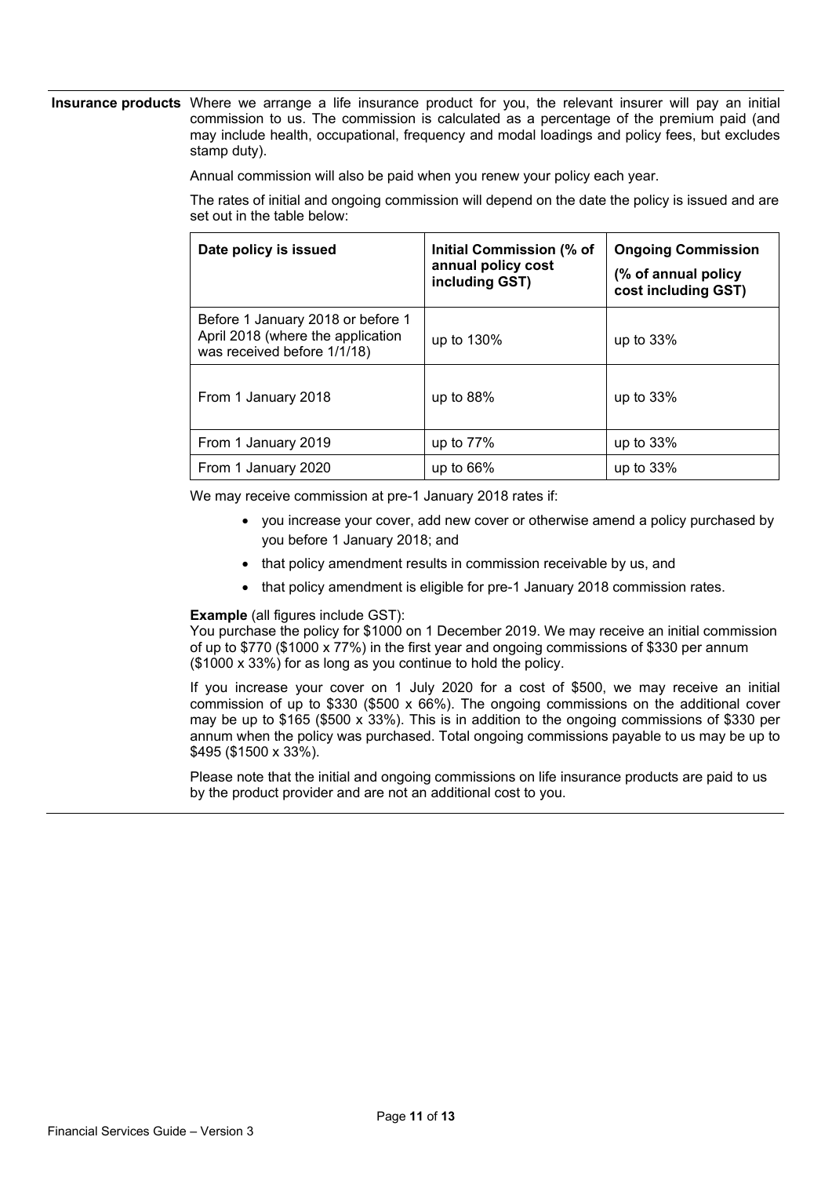**Insurance products** Where we arrange a life insurance product for you, the relevant insurer will pay an initial commission to us. The commission is calculated as a percentage of the premium paid (and may include health, occupational, frequency and modal loadings and policy fees, but excludes stamp duty).

Annual commission will also be paid when you renew your policy each year.

The rates of initial and ongoing commission will depend on the date the policy is issued and are set out in the table below:

| Date policy is issued                                                                                 | Initial Commission (% of<br>annual policy cost<br>including GST) | <b>Ongoing Commission</b><br>(% of annual policy)<br>cost including GST) |
|-------------------------------------------------------------------------------------------------------|------------------------------------------------------------------|--------------------------------------------------------------------------|
| Before 1 January 2018 or before 1<br>April 2018 (where the application<br>was received before 1/1/18) | up to 130%                                                       | up to $33%$                                                              |
| From 1 January 2018                                                                                   | up to $88%$                                                      | up to $33%$                                                              |
| From 1 January 2019                                                                                   | up to $77%$                                                      | up to $33%$                                                              |
| From 1 January 2020                                                                                   | up to $66%$                                                      | up to $33%$                                                              |

We may receive commission at pre-1 January 2018 rates if:

- you increase your cover, add new cover or otherwise amend a policy purchased by you before 1 January 2018; and
- that policy amendment results in commission receivable by us, and
- that policy amendment is eligible for pre-1 January 2018 commission rates.

#### **Example** (all figures include GST):

You purchase the policy for \$1000 on 1 December 2019. We may receive an initial commission of up to \$770 (\$1000 x 77%) in the first year and ongoing commissions of \$330 per annum (\$1000 x 33%) for as long as you continue to hold the policy.

If you increase your cover on 1 July 2020 for a cost of \$500, we may receive an initial commission of up to \$330 (\$500 x 66%). The ongoing commissions on the additional cover may be up to \$165 (\$500 x 33%). This is in addition to the ongoing commissions of \$330 per annum when the policy was purchased. Total ongoing commissions payable to us may be up to \$495 (\$1500 x 33%).

Please note that the initial and ongoing commissions on life insurance products are paid to us by the product provider and are not an additional cost to you.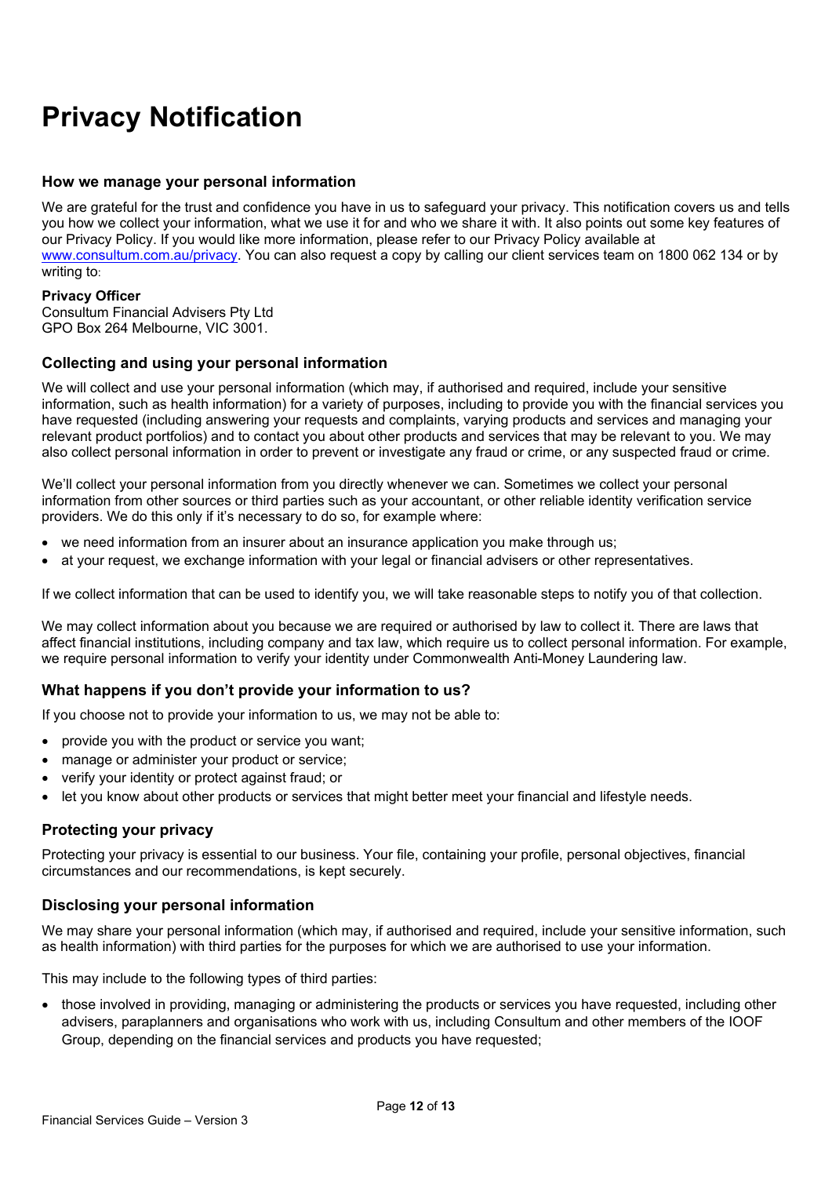# **Privacy Notification**

## **How we manage your personal information**

We are grateful for the trust and confidence you have in us to safeguard your privacy. This notification covers us and tells you how we collect your information, what we use it for and who we share it with. It also points out some key features of our Privacy Policy. If you would like more information, please refer to our Privacy Policy available at [www.consultum.com.au/privacy.](http://www.consultum.com.au/privacy) You can also request a copy by calling our client services team on 1800 062 134 or by writing to:

#### **Privacy Officer**

Consultum Financial Advisers Pty Ltd GPO Box 264 Melbourne, VIC 3001.

## **Collecting and using your personal information**

We will collect and use your personal information (which may, if authorised and required, include your sensitive information, such as health information) for a variety of purposes, including to provide you with the financial services you have requested (including answering your requests and complaints, varying products and services and managing your relevant product portfolios) and to contact you about other products and services that may be relevant to you. We may also collect personal information in order to prevent or investigate any fraud or crime, or any suspected fraud or crime.

We'll collect your personal information from you directly whenever we can. Sometimes we collect your personal information from other sources or third parties such as your accountant, or other reliable identity verification service providers. We do this only if it's necessary to do so, for example where:

- we need information from an insurer about an insurance application you make through us;
- at your request, we exchange information with your legal or financial advisers or other representatives.

If we collect information that can be used to identify you, we will take reasonable steps to notify you of that collection.

We may collect information about you because we are required or authorised by law to collect it. There are laws that affect financial institutions, including company and tax law, which require us to collect personal information. For example, we require personal information to verify your identity under Commonwealth Anti-Money Laundering law.

# **What happens if you don't provide your information to us?**

If you choose not to provide your information to us, we may not be able to:

- provide you with the product or service you want;
- manage or administer your product or service;
- verify your identity or protect against fraud; or
- let you know about other products or services that might better meet your financial and lifestyle needs.

### **Protecting your privacy**

Protecting your privacy is essential to our business. Your file, containing your profile, personal objectives, financial circumstances and our recommendations, is kept securely.

### **Disclosing your personal information**

We may share your personal information (which may, if authorised and required, include your sensitive information, such as health information) with third parties for the purposes for which we are authorised to use your information.

This may include to the following types of third parties:

• those involved in providing, managing or administering the products or services you have requested, including other advisers, paraplanners and organisations who work with us, including Consultum and other members of the IOOF Group, depending on the financial services and products you have requested;